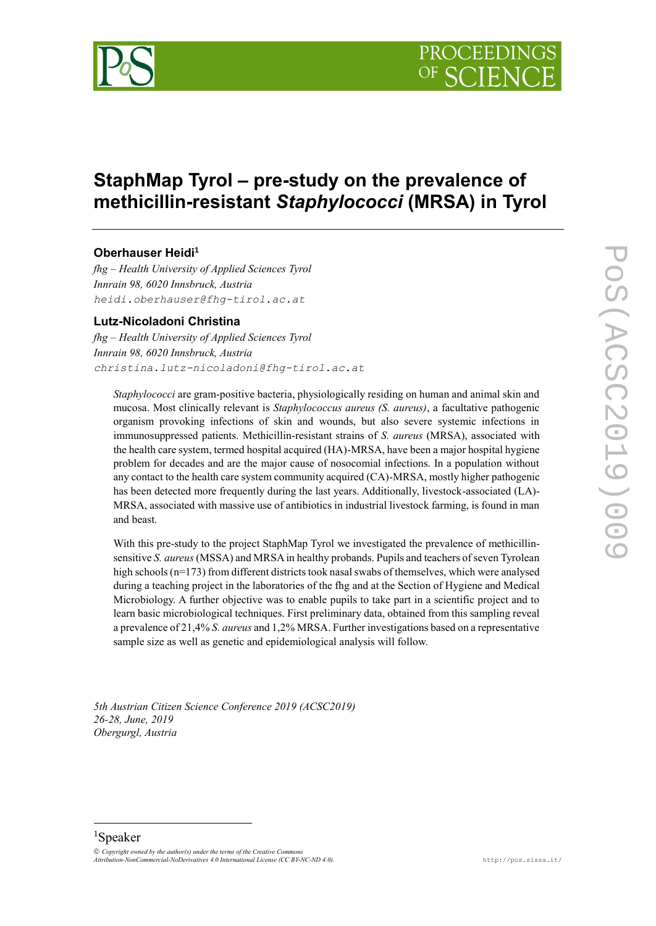

# **StaphMap Tyrol – pre-study on the prevalence of methicillin-resistant** *Staphylococci* **(MRSA) in Tyrol**

# **Oberhauser Heidi<sup>1</sup>**

*fhg – Health University of Applied Sciences Tyrol Innrain 98, 6020 Innsbruck, Austria heidi.oberhauser@fhg-tirol.ac.at*

# **Lutz-Nicoladoni Christina**

*fhg – Health University of Applied Sciences Tyrol Innrain 98, 6020 Innsbruck, Austria christina.lutz-nicoladoni@fhg-tirol.ac.at*

*Staphylococci* are gram-positive bacteria, physiologically residing on human and animal skin and mucosa. Most clinically relevant is *Staphylococcus aureus (S. aureus)*, a facultative pathogenic organism provoking infections of skin and wounds, but also severe systemic infections in immunosuppressed patients. Methicillin-resistant strains of *S. aureus* (MRSA), associated with the health care system, termed hospital acquired (HA)-MRSA, have been a major hospital hygiene problem for decades and are the major cause of nosocomial infections. In a population without any contact to the health care system community acquired (CA)-MRSA, mostly higher pathogenic has been detected more frequently during the last years. Additionally, livestock-associated (LA)-MRSA, associated with massive use of antibiotics in industrial livestock farming, is found in man and beast.

With this pre-study to the project StaphMap Tyrol we investigated the prevalence of methicillinsensitive *S. aureus* (MSSA) and MRSA in healthy probands. Pupils and teachers of seven Tyrolean high schools (n=173) from different districts took nasal swabs of themselves, which were analysed during a teaching project in the laboratories of the fhg and at the Section of Hygiene and Medical Microbiology. A further objective was to enable pupils to take part in a scientific project and to learn basic microbiological techniques. First preliminary data, obtained from this sampling reveal a prevalence of 21,4% *S. aureus* and 1,2% MRSA. Further investigations based on a representative sample size as well as genetic and epidemiological analysis will follow.

*5th Austrian Citizen Science Conference 2019 (ACSC2019) 26-28, June, 2019 Obergurgl, Austria*

# <sup>1</sup>Speaker

-

 $O$  *Copyright owned by the author(s) under the terms of the Creative Commons Attribution-NonCommercial-NoDerivatives 4.0 International License (CC BY-NC-ND 4.0).* <http://pos.sissa.it/>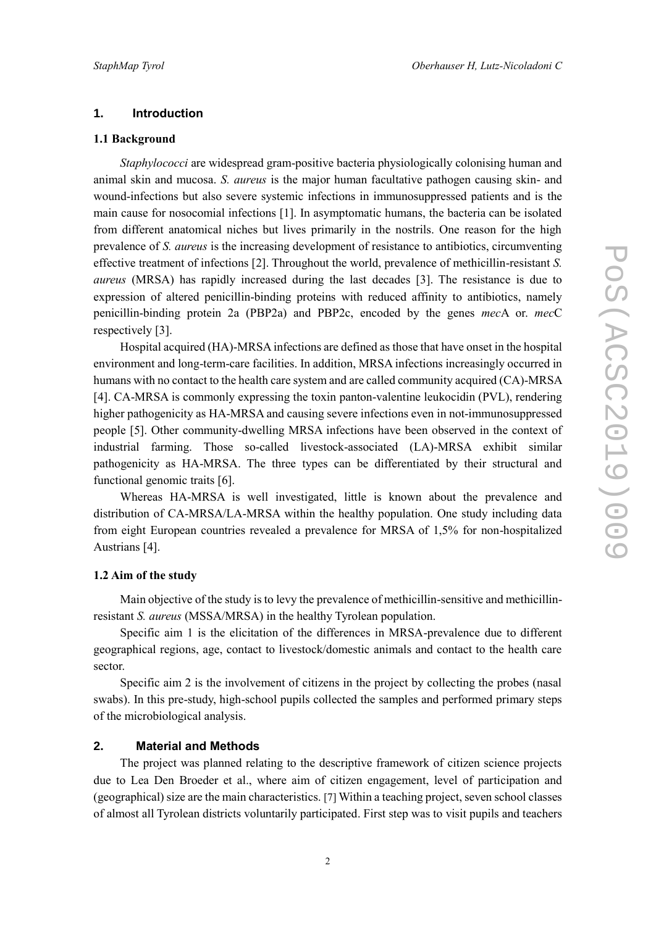### **1. Introduction**

#### **1.1 Background**

*Staphylococci* are widespread gram-positive bacteria physiologically colonising human and animal skin and mucosa. *S. aureus* is the major human facultative pathogen causing skin- and wound-infections but also severe systemic infections in immunosuppressed patients and is the main cause for nosocomial infections [1]. In asymptomatic humans, the bacteria can be isolated from different anatomical niches but lives primarily in the nostrils. One reason for the high prevalence of *S. aureus* is the increasing development of resistance to antibiotics, circumventing effective treatment of infections [2]. Throughout the world, prevalence of methicillin-resistant *S. aureus* (MRSA) has rapidly increased during the last decades [3]. The resistance is due to expression of altered penicillin-binding proteins with reduced affinity to antibiotics, namely penicillin-binding protein 2a (PBP2a) and PBP2c, encoded by the genes *mec*A or. *mec*C respectively [3].

Hospital acquired (HA)-MRSA infections are defined as those that have onset in the hospital environment and long-term-care facilities. In addition, MRSA infections increasingly occurred in humans with no contact to the health care system and are called community acquired (CA)-MRSA [4]. CA-MRSA is commonly expressing the toxin panton-valentine leukocidin (PVL), rendering higher pathogenicity as HA-MRSA and causing severe infections even in not-immunosuppressed people [5]. Other community-dwelling MRSA infections have been observed in the context of industrial farming. Those so-called livestock-associated (LA)-MRSA exhibit similar pathogenicity as HA-MRSA. The three types can be differentiated by their structural and functional genomic traits [6].

Whereas HA-MRSA is well investigated, little is known about the prevalence and distribution of CA-MRSA/LA-MRSA within the healthy population. One study including data from eight European countries revealed a prevalence for MRSA of 1,5% for non-hospitalized Austrians [4].

#### **1.2 Aim of the study**

Main objective of the study is to levy the prevalence of methicillin-sensitive and methicillinresistant *S. aureus* (MSSA/MRSA) in the healthy Tyrolean population.

Specific aim 1 is the elicitation of the differences in MRSA-prevalence due to different geographical regions, age, contact to livestock/domestic animals and contact to the health care sector.

Specific aim 2 is the involvement of citizens in the project by collecting the probes (nasal swabs). In this pre-study, high-school pupils collected the samples and performed primary steps of the microbiological analysis.

# **2. Material and Methods**

The project was planned relating to the descriptive framework of citizen science projects due to Lea Den Broeder et al., where aim of citizen engagement, level of participation and (geographical) size are the main characteristics. [7] Within a teaching project, seven school classes of almost all Tyrolean districts voluntarily participated. First step was to visit pupils and teachers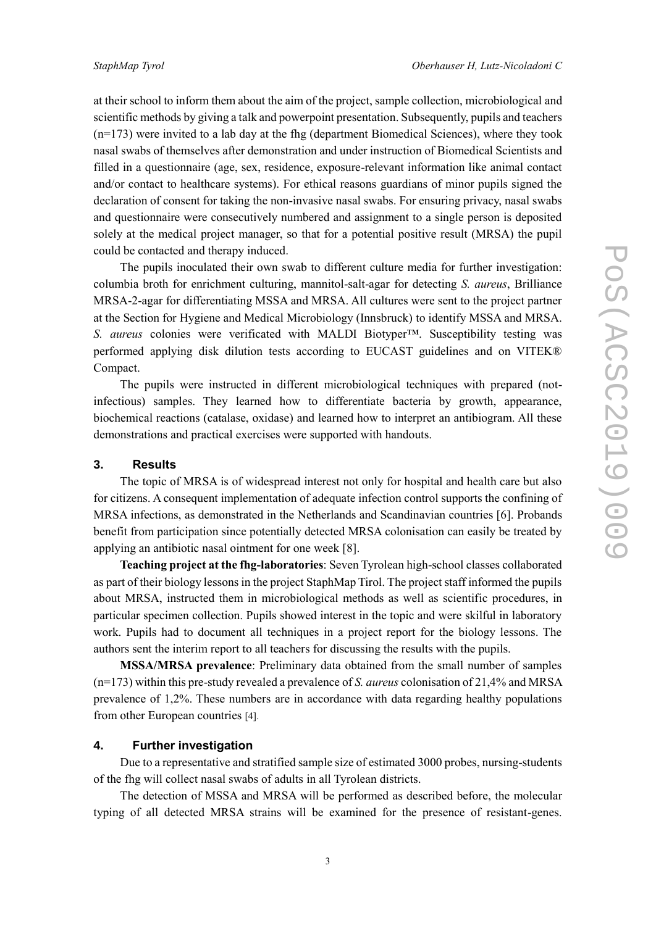at their school to inform them about the aim of the project, sample collection, microbiological and scientific methods by giving a talk and powerpoint presentation. Subsequently, pupils and teachers  $(n=173)$  were invited to a lab day at the fhg (department Biomedical Sciences), where they took nasal swabs of themselves after demonstration and under instruction of Biomedical Scientists and filled in a questionnaire (age, sex, residence, exposure-relevant information like animal contact and/or contact to healthcare systems). For ethical reasons guardians of minor pupils signed the declaration of consent for taking the non-invasive nasal swabs. For ensuring privacy, nasal swabs and questionnaire were consecutively numbered and assignment to a single person is deposited solely at the medical project manager, so that for a potential positive result (MRSA) the pupil could be contacted and therapy induced.

The pupils inoculated their own swab to different culture media for further investigation: columbia broth for enrichment culturing, mannitol-salt-agar for detecting *S. aureus*, Brilliance MRSA-2-agar for differentiating MSSA and MRSA. All cultures were sent to the project partner at the Section for Hygiene and Medical Microbiology (Innsbruck) to identify MSSA and MRSA. *S. aureus* colonies were verificated with MALDI Biotyper™. Susceptibility testing was performed applying disk dilution tests according to EUCAST guidelines and on VITEK® Compact.

The pupils were instructed in different microbiological techniques with prepared (notinfectious) samples. They learned how to differentiate bacteria by growth, appearance, biochemical reactions (catalase, oxidase) and learned how to interpret an antibiogram. All these demonstrations and practical exercises were supported with handouts.

# **3. Results**

The topic of MRSA is of widespread interest not only for hospital and health care but also for citizens. A consequent implementation of adequate infection control supports the confining of MRSA infections, as demonstrated in the Netherlands and Scandinavian countries [6]. Probands benefit from participation since potentially detected MRSA colonisation can easily be treated by applying an antibiotic nasal ointment for one week [8].

**Teaching project at the fhg-laboratories**: Seven Tyrolean high-school classes collaborated as part of their biology lessons in the project StaphMap Tirol. The project staff informed the pupils about MRSA, instructed them in microbiological methods as well as scientific procedures, in particular specimen collection. Pupils showed interest in the topic and were skilful in laboratory work. Pupils had to document all techniques in a project report for the biology lessons. The authors sent the interim report to all teachers for discussing the results with the pupils.

**MSSA/MRSA prevalence**: Preliminary data obtained from the small number of samples (n=173) within this pre-study revealed a prevalence of *S. aureus* colonisation of 21,4% and MRSA prevalence of 1,2%. These numbers are in accordance with data regarding healthy populations from other European countries [4].

# **4. Further investigation**

Due to a representative and stratified sample size of estimated 3000 probes, nursing-students of the fhg will collect nasal swabs of adults in all Tyrolean districts.

The detection of MSSA and MRSA will be performed as described before, the molecular typing of all detected MRSA strains will be examined for the presence of resistant-genes.